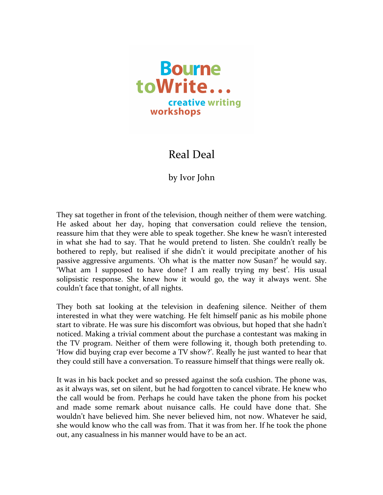

## Real Deal

## by Ivor John

They sat together in front of the television, though neither of them were watching. He asked about her day, hoping that conversation could relieve the tension, reassure him that they were able to speak together. She knew he wasn't interested in what she had to say. That he would pretend to listen. She couldn't really be bothered to reply, but realised if she didn't it would precipitate another of his passive aggressive arguments. 'Oh what is the matter now Susan?' he would say. 'What am I supposed to have done? I am really trying my best'. His usual solipsistic response. She knew how it would go, the way it always went. She couldn't face that tonight, of all nights.

They both sat looking at the television in deafening silence. Neither of them interested in what they were watching. He felt himself panic as his mobile phone start to vibrate. He was sure his discomfort was obvious, but hoped that she hadn't noticed. Making a trivial comment about the purchase a contestant was making in the TV program. Neither of them were following it, though both pretending to. 'How did buying crap ever become a TV show?'. Really he just wanted to hear that they could still have a conversation. To reassure himself that things were really ok.

It was in his back pocket and so pressed against the sofa cushion. The phone was, as it always was, set on silent, but he had forgotten to cancel vibrate. He knew who the call would be from. Perhaps he could have taken the phone from his pocket and made some remark about nuisance calls. He could have done that. She wouldn't have believed him. She never believed him, not now. Whatever he said, she would know who the call was from. That it was from her. If he took the phone out, any casualness in his manner would have to be an act.